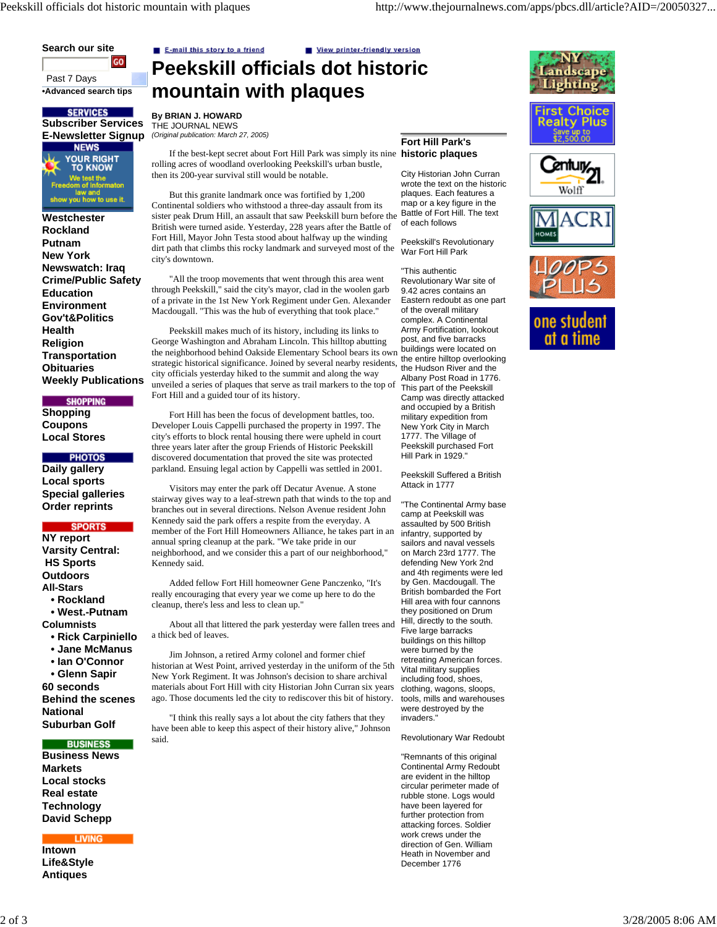**Search our site** GO Past 7 Days

**•Advanced search tips**

**SERVICES**<br>**Subscriber Services E-Newsletter Signup NEWS YOUR RIGHT**<br>TO KNOW .<br>We test the<br>om of Inforr show you how to use it.

**Westchester Rockland Putnam New York Newswatch: Iraq Crime/Public Safety Education Environment Gov't&Politics Health Religion Transportation Obituaries Weekly Publications** 

**SHOPPING Shopping**

**Coupons Local Stores**

**PHOTOS** 

**Daily gallery Local sports Special galleries Order reprints**

# **SPORTS**

**NY report Varsity Central: HS Sports Outdoors All-Stars**

 **• Rockland**

 **• West.-Putnam**

**Columnists**

- **Rick Carpiniello**
- **Jane McManus**

 **• Ian O'Connor • Glenn Sapir**

**60 seconds Behind the scenes National Suburban Golf** 

#### **BUSINESS**

**Business News Markets Local stocks Real estate Technology David Schepp**

**LIVING** 

**Intown Life&Style Antiques**

E-mail this story to a friend

View printer-friendly version **Peekskill officials dot historic mountain with plaques**

**By BRIAN J. HOWARD** THE JOURNAL NEWS *(Original publication: March 27, 2005)*

If the best-kept secret about Fort Hill Park was simply its nine **historic plaques** rolling acres of woodland overlooking Peekskill's urban bustle, then its 200-year survival still would be notable.

But this granite landmark once was fortified by 1,200 Continental soldiers who withstood a three-day assault from its sister peak Drum Hill, an assault that saw Peekskill burn before the British were turned aside. Yesterday, 228 years after the Battle of Fort Hill, Mayor John Testa stood about halfway up the winding dirt path that climbs this rocky landmark and surveyed most of the city's downtown.

"All the troop movements that went through this area went through Peekskill," said the city's mayor, clad in the woolen garb of a private in the 1st New York Regiment under Gen. Alexander Macdougall. "This was the hub of everything that took place."

the neighborhood behind Oakside Elementary School bears its own buildings were located on Peekskill makes much of its history, including its links to George Washington and Abraham Lincoln. This hilltop abutting strategic historical significance. Joined by several nearby residents, city officials yesterday hiked to the summit and along the way unveiled a series of plaques that serve as trail markers to the top of Fort Hill and a guided tour of its history.

Fort Hill has been the focus of development battles, too. Developer Louis Cappelli purchased the property in 1997. The city's efforts to block rental housing there were upheld in court three years later after the group Friends of Historic Peekskill discovered documentation that proved the site was protected parkland. Ensuing legal action by Cappelli was settled in 2001.

Visitors may enter the park off Decatur Avenue. A stone stairway gives way to a leaf-strewn path that winds to the top and branches out in several directions. Nelson Avenue resident John Kennedy said the park offers a respite from the everyday. A member of the Fort Hill Homeowners Alliance, he takes part in an annual spring cleanup at the park. "We take pride in our neighborhood, and we consider this a part of our neighborhood," Kennedy said.

Added fellow Fort Hill homeowner Gene Panczenko, "It's really encouraging that every year we come up here to do the cleanup, there's less and less to clean up."

About all that littered the park yesterday were fallen trees and a thick bed of leaves.

Jim Johnson, a retired Army colonel and former chief historian at West Point, arrived yesterday in the uniform of the 5th New York Regiment. It was Johnson's decision to share archival materials about Fort Hill with city Historian John Curran six years ago. Those documents led the city to rediscover this bit of history.

"I think this really says a lot about the city fathers that they have been able to keep this aspect of their history alive," Johnson said.

# **Fort Hill Park's**

City Historian John Curran wrote the text on the historic plaques. Each features a map or a key figure in the Battle of Fort Hill. The text of each follows

Peekskill's Revolutionary War Fort Hill Park

"This authentic Revolutionary War site of 9.42 acres contains an Eastern redoubt as one part of the overall military complex. A Continental Army Fortification, lookout post, and five barracks the entire hilltop overlooking the Hudson River and the Albany Post Road in 1776. This part of the Peekskill Camp was directly attacked and occupied by a British military expedition from New York City in March 1777. The Village of Peekskill purchased Fort Hill Park in 1929."

Peekskill Suffered a British Attack in 1777

"The Continental Army base camp at Peekskill was assaulted by 500 British infantry, supported by sailors and naval vessels on March 23rd 1777. The defending New York 2nd and 4th regiments were led by Gen. Macdougall. The British bombarded the Fort Hill area with four cannons they positioned on Drum Hill, directly to the south. Five large barracks buildings on this hilltop were burned by the retreating American forces. Vital military supplies including food, shoes, clothing, wagons, sloops, tools, mills and warehouses were destroyed by the invaders."

Revolutionary War Redoubt

"Remnants of this original Continental Army Redoubt are evident in the hilltop circular perimeter made of rubble stone. Logs would have been layered for further protection from attacking forces. Soldier work crews under the direction of Gen. William Heath in November and December 1776





Wolff